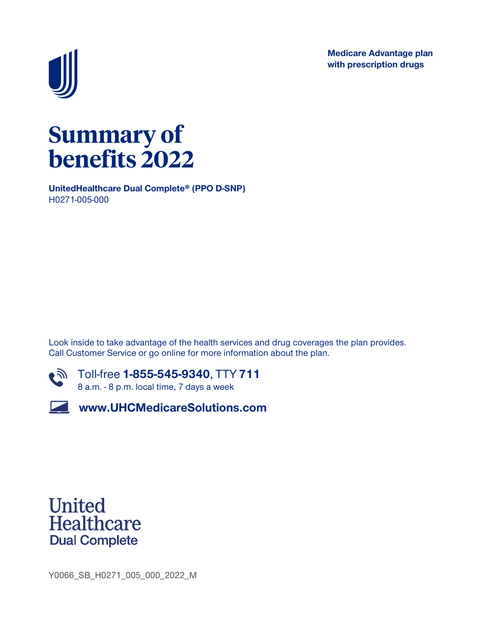**Medicare Advantage plan with prescription drugs**



# **Summary of benefits 2022**

**UnitedHealthcare Dual Complete® (PPO D-SNP) H0271-005-000**

**Look inside to take advantage of the health services and drug coverages the plan provides. Call Customer Service or go online for more information about the plan.**



**Toll-free 1-855-545-9340, TTY 711 8 a.m. - 8 p.m. local time, 7 days a week**

**www.UHCMedicareSolutions.com**



**Y0066\_SB\_H0271\_005\_000\_2022\_M**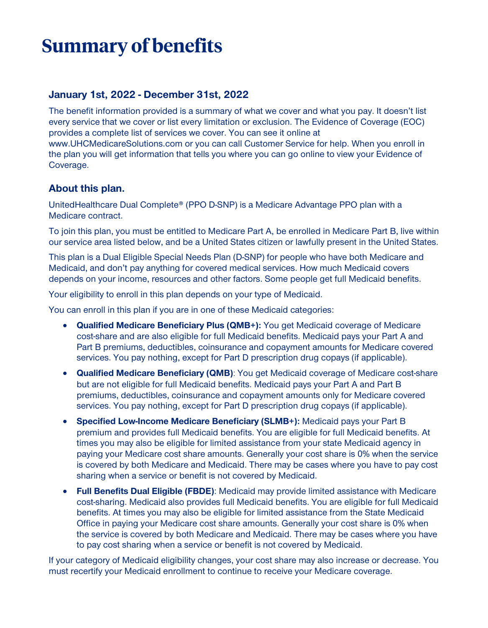# **Summary of benefits**

#### **January 1st, 2022 - December 31st, 2022**

**The benefit information provided is a summary of what we cover and what you pay. It doesn't list every service that we cover or list every limitation or exclusion. The Evidence of Coverage (EOC) provides a complete list of services we cover. You can see it online at www.UHCMedicareSolutions.com or you can call Customer Service for help. When you enroll in the plan you will get information that tells you where you can go online to view your Evidence of Coverage.**

#### **About this plan.**

**UnitedHealthcare Dual Complete® (PPO D-SNP) is a Medicare Advantage PPO plan with a Medicare contract.**

**To join this plan, you must be entitled to Medicare Part A, be enrolled in Medicare Part B, live within our service area listed below, and be a United States citizen or lawfully present in the United States.**

**This plan is a Dual Eligible Special Needs Plan (D-SNP) for people who have both Medicare and Medicaid, and don't pay anything for covered medical services. How much Medicaid covers depends on your income, resources and other factors. Some people get full Medicaid benefits.**

**Your eligibility to enroll in this plan depends on your type of Medicaid.**

**You can enroll in this plan if you are in one of these Medicaid categories:**

- **• Qualified Medicare Beneficiary Plus (QMB+): You get Medicaid coverage of Medicare cost-share and are also eligible for full Medicaid benefits. Medicaid pays your Part A and Part B premiums, deductibles, coinsurance and copayment amounts for Medicare covered services. You pay nothing, except for Part D prescription drug copays (if applicable).**
- **• Qualified Medicare Beneficiary (QMB): You get Medicaid coverage of Medicare cost-share but are not eligible for full Medicaid benefits. Medicaid pays your Part A and Part B premiums, deductibles, coinsurance and copayment amounts only for Medicare covered services. You pay nothing, except for Part D prescription drug copays (if applicable).**
- **• Specified Low-Income Medicare Beneficiary (SLMB+): Medicaid pays your Part B premium and provides full Medicaid benefits. You are eligible for full Medicaid benefits. At times you may also be eligible for limited assistance from your state Medicaid agency in paying your Medicare cost share amounts. Generally your cost share is 0% when the service is covered by both Medicare and Medicaid. There may be cases where you have to pay cost sharing when a service or benefit is not covered by Medicaid.**
- **• Full Benefits Dual Eligible (FBDE): Medicaid may provide limited assistance with Medicare cost-sharing. Medicaid also provides full Medicaid benefits. You are eligible for full Medicaid benefits. At times you may also be eligible for limited assistance from the State Medicaid Office in paying your Medicare cost share amounts. Generally your cost share is 0% when the service is covered by both Medicare and Medicaid. There may be cases where you have to pay cost sharing when a service or benefit is not covered by Medicaid.**

**If your category of Medicaid eligibility changes, your cost share may also increase or decrease. You must recertify your Medicaid enrollment to continue to receive your Medicare coverage.**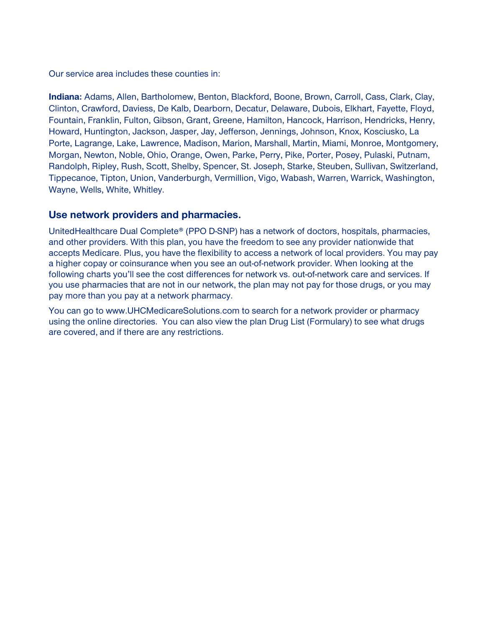**Our service area includes these counties in:**

**Indiana: Adams, Allen, Bartholomew, Benton, Blackford, Boone, Brown, Carroll, Cass, Clark, Clay, Clinton, Crawford, Daviess, De Kalb, Dearborn, Decatur, Delaware, Dubois, Elkhart, Fayette, Floyd, Fountain, Franklin, Fulton, Gibson, Grant, Greene, Hamilton, Hancock, Harrison, Hendricks, Henry, Howard, Huntington, Jackson, Jasper, Jay, Jefferson, Jennings, Johnson, Knox, Kosciusko, La Porte, Lagrange, Lake, Lawrence, Madison, Marion, Marshall, Martin, Miami, Monroe, Montgomery, Morgan, Newton, Noble, Ohio, Orange, Owen, Parke, Perry, Pike, Porter, Posey, Pulaski, Putnam, Randolph, Ripley, Rush, Scott, Shelby, Spencer, St. Joseph, Starke, Steuben, Sullivan, Switzerland, Tippecanoe, Tipton, Union, Vanderburgh, Vermillion, Vigo, Wabash, Warren, Warrick, Washington, Wayne, Wells, White, Whitley.**

#### **Use network providers and pharmacies.**

**UnitedHealthcare Dual Complete® (PPO D-SNP) has a network of doctors, hospitals, pharmacies, and other providers. With this plan, you have the freedom to see any provider nationwide that accepts Medicare. Plus, you have the flexibility to access a network of local providers. You may pay a higher copay or coinsurance when you see an out-of-network provider. When looking at the following charts you'll see the cost differences for network vs. out-of-network care and services. If you use pharmacies that are not in our network, the plan may not pay for those drugs, or you may pay more than you pay at a network pharmacy.**

**You can go to www.UHCMedicareSolutions.com to search for a network provider or pharmacy using the online directories. You can also view the plan Drug List (Formulary) to see what drugs are covered, and if there are any restrictions.**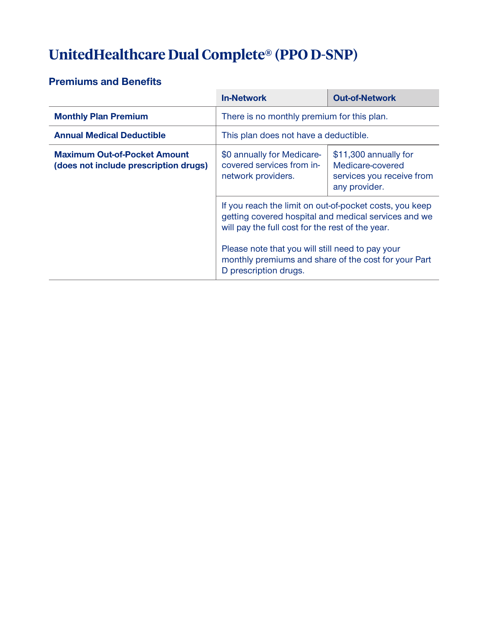# **UnitedHealthcare Dual Complete® (PPO D-SNP)**

#### **Premiums and Benefits**

|                                                                              | <b>In-Network</b>                                                                                                                                                                                                       | <b>Out-of-Network</b>                                                                   |
|------------------------------------------------------------------------------|-------------------------------------------------------------------------------------------------------------------------------------------------------------------------------------------------------------------------|-----------------------------------------------------------------------------------------|
| <b>Monthly Plan Premium</b>                                                  | There is no monthly premium for this plan.                                                                                                                                                                              |                                                                                         |
| <b>Annual Medical Deductible</b>                                             | This plan does not have a deductible.                                                                                                                                                                                   |                                                                                         |
| <b>Maximum Out-of-Pocket Amount</b><br>(does not include prescription drugs) | \$0 annually for Medicare-<br>covered services from in-<br>network providers.                                                                                                                                           | \$11,300 annually for<br>Medicare-covered<br>services you receive from<br>any provider. |
|                                                                              | If you reach the limit on out-of-pocket costs, you keep<br>getting covered hospital and medical services and we<br>will pay the full cost for the rest of the year.<br>Please note that you will still need to pay your |                                                                                         |
|                                                                              | monthly premiums and share of the cost for your Part<br>D prescription drugs.                                                                                                                                           |                                                                                         |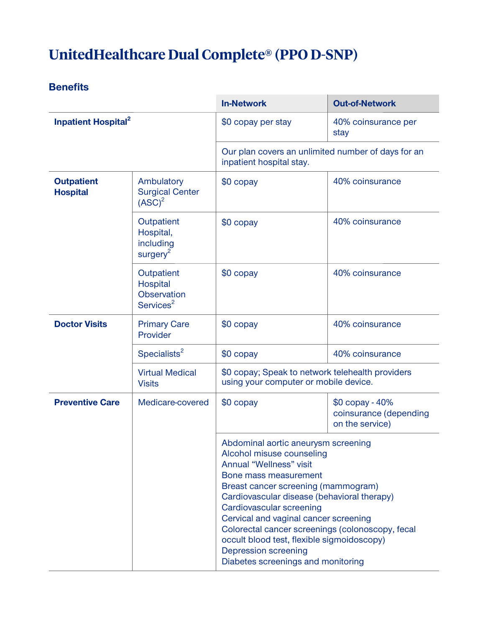# **UnitedHealthcare Dual Complete® (PPO D-SNP)**

|                                       |                                                                | <b>In-Network</b>                                                                                                                                                                                                                                                                                                                                                                                                                                      | <b>Out-of-Network</b>                                        |
|---------------------------------------|----------------------------------------------------------------|--------------------------------------------------------------------------------------------------------------------------------------------------------------------------------------------------------------------------------------------------------------------------------------------------------------------------------------------------------------------------------------------------------------------------------------------------------|--------------------------------------------------------------|
| <b>Inpatient Hospital<sup>2</sup></b> |                                                                | \$0 copay per stay                                                                                                                                                                                                                                                                                                                                                                                                                                     | 40% coinsurance per<br>stay                                  |
|                                       |                                                                | Our plan covers an unlimited number of days for an<br>inpatient hospital stay.                                                                                                                                                                                                                                                                                                                                                                         |                                                              |
| <b>Outpatient</b><br><b>Hospital</b>  | Ambulatory<br><b>Surgical Center</b><br>(ASC) <sup>2</sup>     | \$0 copay                                                                                                                                                                                                                                                                                                                                                                                                                                              | 40% coinsurance                                              |
|                                       | Outpatient<br>Hospital,<br>including<br>surgery <sup>2</sup>   | $$0$ copay                                                                                                                                                                                                                                                                                                                                                                                                                                             | 40% coinsurance                                              |
|                                       | Outpatient<br>Hospital<br>Observation<br>Services <sup>2</sup> | $$0$ copay                                                                                                                                                                                                                                                                                                                                                                                                                                             | 40% coinsurance                                              |
| <b>Doctor Visits</b>                  | <b>Primary Care</b><br>Provider                                | \$0 copay                                                                                                                                                                                                                                                                                                                                                                                                                                              | 40% coinsurance                                              |
|                                       | Specialists <sup>2</sup>                                       | \$0 copay                                                                                                                                                                                                                                                                                                                                                                                                                                              | 40% coinsurance                                              |
|                                       | <b>Virtual Medical</b><br><b>Visits</b>                        | \$0 copay; Speak to network telehealth providers<br>using your computer or mobile device.                                                                                                                                                                                                                                                                                                                                                              |                                                              |
| <b>Preventive Care</b>                | Medicare-covered                                               | \$0 copay                                                                                                                                                                                                                                                                                                                                                                                                                                              | \$0 copay - 40%<br>coinsurance (depending<br>on the service) |
|                                       |                                                                | Abdominal aortic aneurysm screening<br>Alcohol misuse counseling<br>Annual "Wellness" visit<br>Bone mass measurement<br>Breast cancer screening (mammogram)<br>Cardiovascular disease (behavioral therapy)<br>Cardiovascular screening<br>Cervical and vaginal cancer screening<br>Colorectal cancer screenings (colonoscopy, fecal<br>occult blood test, flexible sigmoidoscopy)<br><b>Depression screening</b><br>Diabetes screenings and monitoring |                                                              |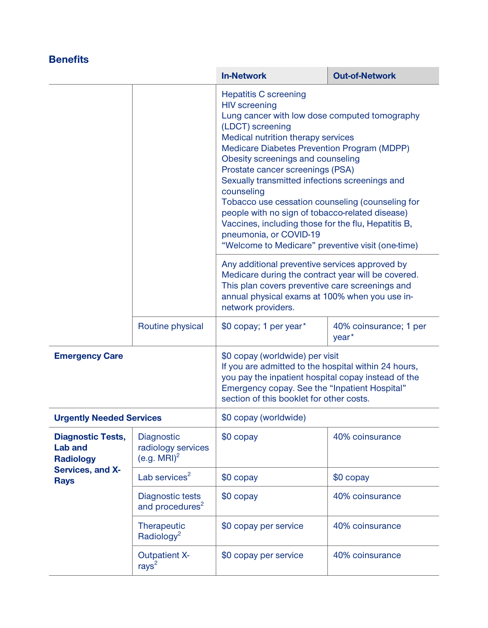|                                                                |                                                    | <b>In-Network</b>                                                                                                                                                                                                                                                                                                                                                                                                                                                                                                                                                                                                                                                                                                                                                                                                                       | <b>Out-of-Network</b>                       |
|----------------------------------------------------------------|----------------------------------------------------|-----------------------------------------------------------------------------------------------------------------------------------------------------------------------------------------------------------------------------------------------------------------------------------------------------------------------------------------------------------------------------------------------------------------------------------------------------------------------------------------------------------------------------------------------------------------------------------------------------------------------------------------------------------------------------------------------------------------------------------------------------------------------------------------------------------------------------------------|---------------------------------------------|
|                                                                |                                                    | <b>Hepatitis C screening</b><br><b>HIV</b> screening<br>Lung cancer with low dose computed tomography<br>(LDCT) screening<br>Medical nutrition therapy services<br>Medicare Diabetes Prevention Program (MDPP)<br>Obesity screenings and counseling<br>Prostate cancer screenings (PSA)<br>Sexually transmitted infections screenings and<br>counseling<br>Tobacco use cessation counseling (counseling for<br>people with no sign of tobacco-related disease)<br>Vaccines, including those for the flu, Hepatitis B,<br>pneumonia, or COVID-19<br>"Welcome to Medicare" preventive visit (one-time)<br>Any additional preventive services approved by<br>Medicare during the contract year will be covered.<br>This plan covers preventive care screenings and<br>annual physical exams at 100% when you use in-<br>network providers. |                                             |
|                                                                |                                                    |                                                                                                                                                                                                                                                                                                                                                                                                                                                                                                                                                                                                                                                                                                                                                                                                                                         |                                             |
|                                                                | Routine physical                                   | \$0 copay; 1 per year*                                                                                                                                                                                                                                                                                                                                                                                                                                                                                                                                                                                                                                                                                                                                                                                                                  | 40% coinsurance; 1 per<br>year <sup>*</sup> |
| <b>Emergency Care</b>                                          |                                                    | \$0 copay (worldwide) per visit<br>If you are admitted to the hospital within 24 hours,<br>you pay the inpatient hospital copay instead of the<br>Emergency copay. See the "Inpatient Hospital"<br>section of this booklet for other costs.                                                                                                                                                                                                                                                                                                                                                                                                                                                                                                                                                                                             |                                             |
| <b>Urgently Needed Services</b>                                |                                                    | \$0 copay (worldwide)                                                                                                                                                                                                                                                                                                                                                                                                                                                                                                                                                                                                                                                                                                                                                                                                                   |                                             |
| <b>Diagnostic Tests,</b><br><b>Lab and</b><br><b>Radiology</b> | Diagnostic<br>radiology services<br>$(e.g. MRI)^2$ | $$0$ copay                                                                                                                                                                                                                                                                                                                                                                                                                                                                                                                                                                                                                                                                                                                                                                                                                              | 40% coinsurance                             |
| Services, and X-<br><b>Rays</b>                                | Lab services <sup>2</sup>                          | \$0 copay                                                                                                                                                                                                                                                                                                                                                                                                                                                                                                                                                                                                                                                                                                                                                                                                                               | \$0 copay                                   |
|                                                                | Diagnostic tests<br>and procedures <sup>2</sup>    | $$0$ copay                                                                                                                                                                                                                                                                                                                                                                                                                                                                                                                                                                                                                                                                                                                                                                                                                              | 40% coinsurance                             |
|                                                                | Therapeutic<br>Radiology <sup>2</sup>              | \$0 copay per service                                                                                                                                                                                                                                                                                                                                                                                                                                                                                                                                                                                                                                                                                                                                                                                                                   | 40% coinsurance                             |
|                                                                | <b>Outpatient X-</b><br>rays <sup>2</sup>          | \$0 copay per service                                                                                                                                                                                                                                                                                                                                                                                                                                                                                                                                                                                                                                                                                                                                                                                                                   | 40% coinsurance                             |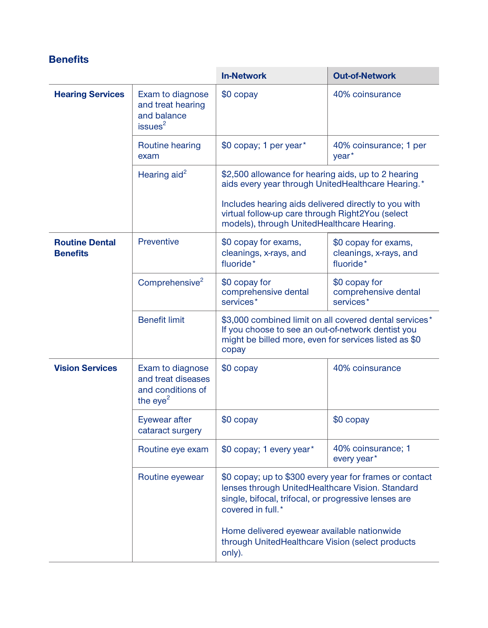|                                          |                                                                             | <b>In-Network</b>                                                                                                                                                                        | <b>Out-of-Network</b>                                       |
|------------------------------------------|-----------------------------------------------------------------------------|------------------------------------------------------------------------------------------------------------------------------------------------------------------------------------------|-------------------------------------------------------------|
| <b>Hearing Services</b>                  | Exam to diagnose<br>and treat hearing<br>and balance<br>issues <sup>2</sup> | \$0 copay                                                                                                                                                                                | 40% coinsurance                                             |
|                                          | Routine hearing<br>exam                                                     | \$0 copay; 1 per year*                                                                                                                                                                   | 40% coinsurance; 1 per<br>year <sup>*</sup>                 |
|                                          | Hearing aid <sup>2</sup>                                                    | \$2,500 allowance for hearing aids, up to 2 hearing<br>aids every year through UnitedHealthcare Hearing.*                                                                                |                                                             |
|                                          |                                                                             | Includes hearing aids delivered directly to you with<br>virtual follow-up care through Right2You (select<br>models), through UnitedHealthcare Hearing.                                   |                                                             |
| <b>Routine Dental</b><br><b>Benefits</b> | Preventive                                                                  | \$0 copay for exams,<br>cleanings, x-rays, and<br>fluoride*                                                                                                                              | \$0 copay for exams,<br>cleanings, x-rays, and<br>fluoride* |
|                                          | Comprehensive <sup>2</sup>                                                  | \$0 copay for<br>comprehensive dental<br>services*                                                                                                                                       | \$0 copay for<br>comprehensive dental<br>services*          |
|                                          | <b>Benefit limit</b>                                                        | \$3,000 combined limit on all covered dental services*<br>If you choose to see an out-of-network dentist you<br>might be billed more, even for services listed as \$0<br>copay           |                                                             |
| <b>Vision Services</b>                   | Exam to diagnose<br>and treat diseases<br>and conditions of<br>the $eye2$   | \$0 copay                                                                                                                                                                                | 40% coinsurance                                             |
|                                          | Eyewear after<br>cataract surgery                                           | \$0 copay                                                                                                                                                                                | \$0 copay                                                   |
|                                          | Routine eye exam                                                            | \$0 copay; 1 every year*                                                                                                                                                                 | 40% coinsurance; 1<br>every year*                           |
|                                          | Routine eyewear                                                             | \$0 copay; up to \$300 every year for frames or contact<br>lenses through UnitedHealthcare Vision. Standard<br>single, bifocal, trifocal, or progressive lenses are<br>covered in full.* |                                                             |
|                                          |                                                                             | Home delivered eyewear available nationwide<br>through UnitedHealthcare Vision (select products<br>only).                                                                                |                                                             |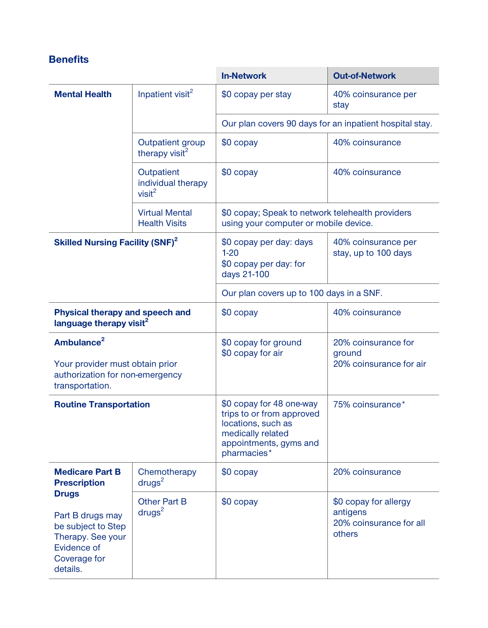|                                                                                                                        |                                                        | <b>In-Network</b>                                                                                                                         | <b>Out-of-Network</b>                                                  |
|------------------------------------------------------------------------------------------------------------------------|--------------------------------------------------------|-------------------------------------------------------------------------------------------------------------------------------------------|------------------------------------------------------------------------|
| <b>Mental Health</b>                                                                                                   | Inpatient visit <sup>2</sup>                           | \$0 copay per stay                                                                                                                        | 40% coinsurance per<br>stay                                            |
|                                                                                                                        |                                                        |                                                                                                                                           | Our plan covers 90 days for an inpatient hospital stay.                |
|                                                                                                                        | Outpatient group<br>therapy visit <sup>2</sup>         | \$0 copay                                                                                                                                 | 40% coinsurance                                                        |
|                                                                                                                        | Outpatient<br>individual therapy<br>visit <sup>2</sup> | \$0 copay                                                                                                                                 | 40% coinsurance                                                        |
|                                                                                                                        | <b>Virtual Mental</b><br><b>Health Visits</b>          | \$0 copay; Speak to network telehealth providers<br>using your computer or mobile device.                                                 |                                                                        |
| <b>Skilled Nursing Facility (SNF)<sup>2</sup></b>                                                                      |                                                        | \$0 copay per day: days<br>$1 - 20$<br>\$0 copay per day: for<br>days 21-100                                                              | 40% coinsurance per<br>stay, up to 100 days                            |
|                                                                                                                        |                                                        | Our plan covers up to 100 days in a SNF.                                                                                                  |                                                                        |
| Physical therapy and speech and<br>language therapy visit <sup>2</sup>                                                 |                                                        | \$0 copay                                                                                                                                 | 40% coinsurance                                                        |
| Ambulance <sup>2</sup><br>Your provider must obtain prior<br>authorization for non-emergency<br>transportation.        |                                                        | \$0 copay for ground<br>\$0 copay for air                                                                                                 | 20% coinsurance for<br>ground<br>20% coinsurance for air               |
| <b>Routine Transportation</b>                                                                                          |                                                        | \$0 copay for 48 one-way<br>trips to or from approved<br>locations, such as<br>medically related<br>appointments, gyms and<br>pharmacies* | 75% coinsurance*                                                       |
| <b>Medicare Part B</b><br><b>Prescription</b>                                                                          | Chemotherapy<br>drugs <sup>2</sup>                     | \$0 copay                                                                                                                                 | 20% coinsurance                                                        |
| <b>Drugs</b><br>Part B drugs may<br>be subject to Step<br>Therapy. See your<br>Evidence of<br>Coverage for<br>details. | <b>Other Part B</b><br>drugs <sup>2</sup>              | \$0 copay                                                                                                                                 | \$0 copay for allergy<br>antigens<br>20% coinsurance for all<br>others |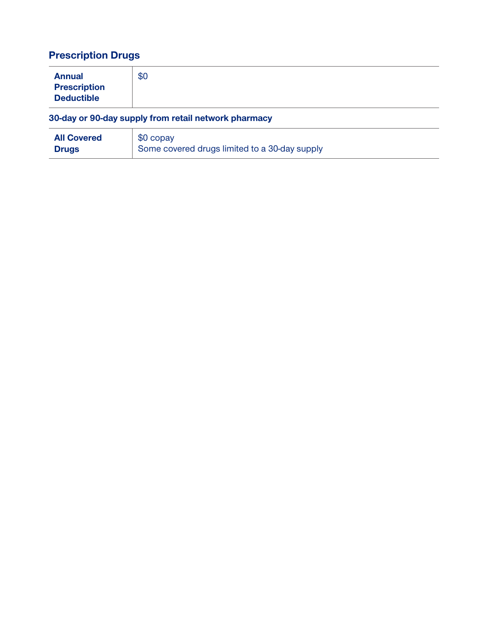## **Prescription Drugs**

| <b>Annual</b><br><b>Prescription</b><br><b>Deductible</b> | \$0 |  |  |
|-----------------------------------------------------------|-----|--|--|
| 30-day or 90-day supply from retail network pharmacy      |     |  |  |

| <b>All Covered</b> | \$0 copay                                     |
|--------------------|-----------------------------------------------|
| <b>Drugs</b>       | Some covered drugs limited to a 30-day supply |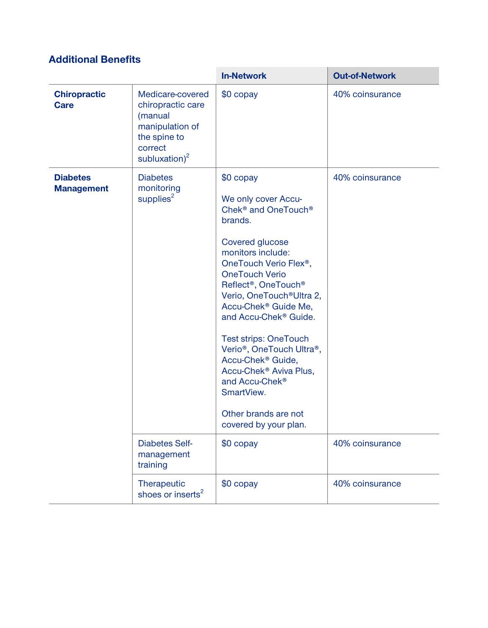### **Additional Benefits**

|                                      |                                                                                                                       | <b>In-Network</b>                                                                                                                                                                                                                                                                                                                                                                                                                                                                                                                                                                                                             | <b>Out-of-Network</b> |
|--------------------------------------|-----------------------------------------------------------------------------------------------------------------------|-------------------------------------------------------------------------------------------------------------------------------------------------------------------------------------------------------------------------------------------------------------------------------------------------------------------------------------------------------------------------------------------------------------------------------------------------------------------------------------------------------------------------------------------------------------------------------------------------------------------------------|-----------------------|
| <b>Chiropractic</b><br><b>Care</b>   | Medicare-covered<br>chiropractic care<br>(manual<br>manipulation of<br>the spine to<br>correct<br>subluxation) $^{2}$ | \$0 copay                                                                                                                                                                                                                                                                                                                                                                                                                                                                                                                                                                                                                     | 40% coinsurance       |
| <b>Diabetes</b><br><b>Management</b> | <b>Diabetes</b><br>monitoring<br>supplies <sup>2</sup>                                                                | \$0 copay<br>We only cover Accu-<br>Chek <sup>®</sup> and OneTouch <sup>®</sup><br>brands.<br>Covered glucose<br>monitors include:<br>OneTouch Verio Flex <sup>®</sup> ,<br><b>OneTouch Verio</b><br>Reflect <sup>®</sup> , OneTouch <sup>®</sup><br>Verio, OneTouch <sup>®</sup> Ultra 2,<br>Accu-Chek <sup>®</sup> Guide Me,<br>and Accu-Chek <sup>®</sup> Guide.<br><b>Test strips: OneTouch</b><br>Verio <sup>®</sup> , OneTouch Ultra <sup>®</sup> ,<br>Accu-Chek <sup>®</sup> Guide,<br>Accu-Chek <sup>®</sup> Aviva Plus,<br>and Accu-Chek <sup>®</sup><br>SmartView.<br>Other brands are not<br>covered by your plan. | 40% coinsurance       |
|                                      | <b>Diabetes Self-</b><br>management<br>training                                                                       | \$0 copay                                                                                                                                                                                                                                                                                                                                                                                                                                                                                                                                                                                                                     | 40% coinsurance       |
|                                      | Therapeutic<br>shoes or inserts <sup>2</sup>                                                                          | \$0 copay                                                                                                                                                                                                                                                                                                                                                                                                                                                                                                                                                                                                                     | 40% coinsurance       |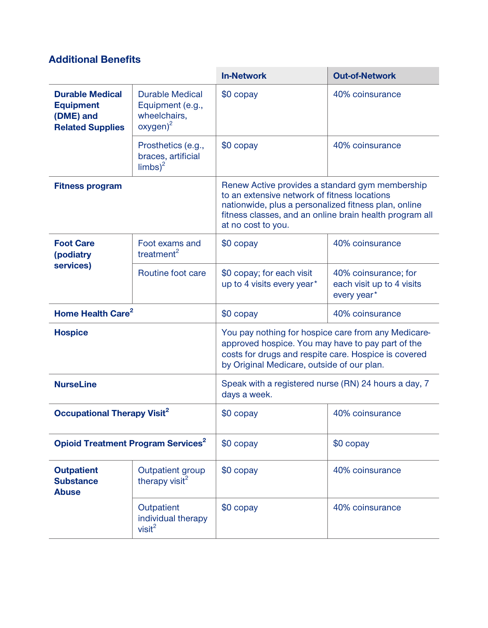### **Additional Benefits**

|                                                                                    |                                                                           | <b>In-Network</b>                                                                                                                                                                                                                        | <b>Out-of-Network</b>                                            |
|------------------------------------------------------------------------------------|---------------------------------------------------------------------------|------------------------------------------------------------------------------------------------------------------------------------------------------------------------------------------------------------------------------------------|------------------------------------------------------------------|
| <b>Durable Medical</b><br><b>Equipment</b><br>(DME) and<br><b>Related Supplies</b> | <b>Durable Medical</b><br>Equipment (e.g.,<br>wheelchairs,<br>$oxygen)^2$ | \$0 copay                                                                                                                                                                                                                                | 40% coinsurance                                                  |
|                                                                                    | Prosthetics (e.g.,<br>braces, artificial<br>$\text{limbs}$ <sup>2</sup>   | \$0 copay                                                                                                                                                                                                                                | 40% coinsurance                                                  |
| <b>Fitness program</b>                                                             |                                                                           | Renew Active provides a standard gym membership<br>to an extensive network of fitness locations<br>nationwide, plus a personalized fitness plan, online<br>fitness classes, and an online brain health program all<br>at no cost to you. |                                                                  |
| <b>Foot Care</b><br>(podiatry                                                      | Foot exams and<br>treatment <sup>2</sup>                                  | \$0 copay                                                                                                                                                                                                                                | 40% coinsurance                                                  |
| services)                                                                          | Routine foot care                                                         | \$0 copay; for each visit<br>up to 4 visits every year*                                                                                                                                                                                  | 40% coinsurance; for<br>each visit up to 4 visits<br>every year* |
| Home Health Care <sup>2</sup>                                                      |                                                                           | \$0 copay                                                                                                                                                                                                                                | 40% coinsurance                                                  |
| <b>Hospice</b>                                                                     |                                                                           | You pay nothing for hospice care from any Medicare-<br>approved hospice. You may have to pay part of the<br>costs for drugs and respite care. Hospice is covered<br>by Original Medicare, outside of our plan.                           |                                                                  |
| <b>NurseLine</b>                                                                   |                                                                           | Speak with a registered nurse (RN) 24 hours a day, 7<br>days a week.                                                                                                                                                                     |                                                                  |
| <b>Occupational Therapy Visit<sup>2</sup></b>                                      |                                                                           | \$0 copay                                                                                                                                                                                                                                | 40% coinsurance                                                  |
| <b>Opioid Treatment Program Services<sup>2</sup></b>                               |                                                                           | \$0 copay                                                                                                                                                                                                                                | \$0 copay                                                        |
| <b>Outpatient</b><br><b>Substance</b><br><b>Abuse</b>                              | Outpatient group<br>therapy visit <sup>2</sup>                            | $$0$ copay                                                                                                                                                                                                                               | 40% coinsurance                                                  |
|                                                                                    | Outpatient<br>individual therapy<br>visit <sup>2</sup>                    | \$0 copay                                                                                                                                                                                                                                | 40% coinsurance                                                  |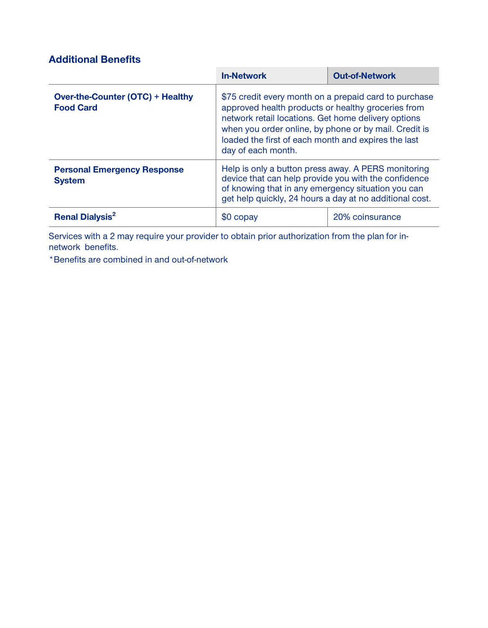### **Additional Benefits**

|                                                             | <b>In-Network</b>                                                                                                                                                                                                                                                                                        | <b>Out-of-Network</b> |
|-------------------------------------------------------------|----------------------------------------------------------------------------------------------------------------------------------------------------------------------------------------------------------------------------------------------------------------------------------------------------------|-----------------------|
| <b>Over-the-Counter (OTC) + Healthy</b><br><b>Food Card</b> | \$75 credit every month on a prepaid card to purchase<br>approved health products or healthy groceries from<br>network retail locations. Get home delivery options<br>when you order online, by phone or by mail. Credit is<br>loaded the first of each month and expires the last<br>day of each month. |                       |
| <b>Personal Emergency Response</b><br><b>System</b>         | Help is only a button press away. A PERS monitoring<br>device that can help provide you with the confidence<br>of knowing that in any emergency situation you can<br>get help quickly, 24 hours a day at no additional cost.                                                                             |                       |
| <b>Renal Dialysis<sup>2</sup></b>                           | \$0 copay                                                                                                                                                                                                                                                                                                | 20% coinsurance       |

**Services with a 2 may require your provider to obtain prior authorization from the plan for innetwork benefits.**

**\*Benefits are combined in and out-of-network**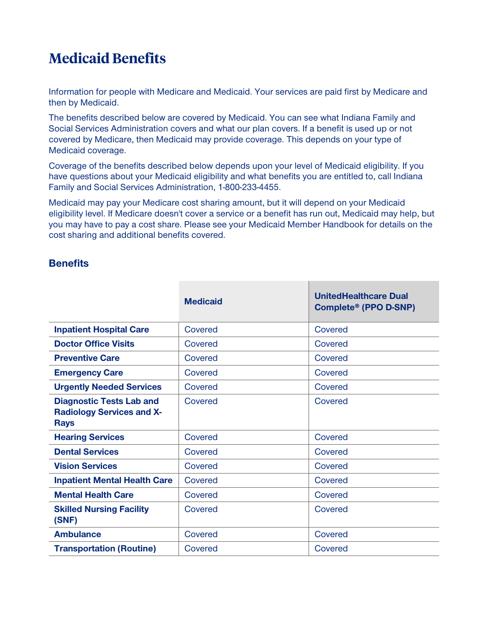## **Medicaid Benefits**

**Information for people with Medicare and Medicaid. Your services are paid first by Medicare and then by Medicaid.**

**The benefits described below are covered by Medicaid. You can see what Indiana Family and Social Services Administration covers and what our plan covers. If a benefit is used up or not covered by Medicare, then Medicaid may provide coverage. This depends on your type of Medicaid coverage.**

**Coverage of the benefits described below depends upon your level of Medicaid eligibility. If you have questions about your Medicaid eligibility and what benefits you are entitled to, call Indiana Family and Social Services Administration, 1-800-233-4455.**

**Medicaid may pay your Medicare cost sharing amount, but it will depend on your Medicaid eligibility level. If Medicare doesn't cover a service or a benefit has run out, Medicaid may help, but you may have to pay a cost share. Please see your Medicaid Member Handbook for details on the cost sharing and additional benefits covered.**

|                                                                                    | <b>Medicaid</b> | <b>UnitedHealthcare Dual</b><br>Complete® (PPO D-SNP) |
|------------------------------------------------------------------------------------|-----------------|-------------------------------------------------------|
| <b>Inpatient Hospital Care</b>                                                     | Covered         | Covered                                               |
| <b>Doctor Office Visits</b>                                                        | Covered         | Covered                                               |
| <b>Preventive Care</b>                                                             | Covered         | Covered                                               |
| <b>Emergency Care</b>                                                              | Covered         | Covered                                               |
| <b>Urgently Needed Services</b>                                                    | Covered         | Covered                                               |
| <b>Diagnostic Tests Lab and</b><br><b>Radiology Services and X-</b><br><b>Rays</b> | Covered         | Covered                                               |
| <b>Hearing Services</b>                                                            | Covered         | Covered                                               |
| <b>Dental Services</b>                                                             | Covered         | Covered                                               |
| <b>Vision Services</b>                                                             | Covered         | Covered                                               |
| <b>Inpatient Mental Health Care</b>                                                | Covered         | Covered                                               |
| <b>Mental Health Care</b>                                                          | Covered         | Covered                                               |
| <b>Skilled Nursing Facility</b><br>(SNF)                                           | Covered         | Covered                                               |
| <b>Ambulance</b>                                                                   | Covered         | Covered                                               |
| <b>Transportation (Routine)</b>                                                    | Covered         | Covered                                               |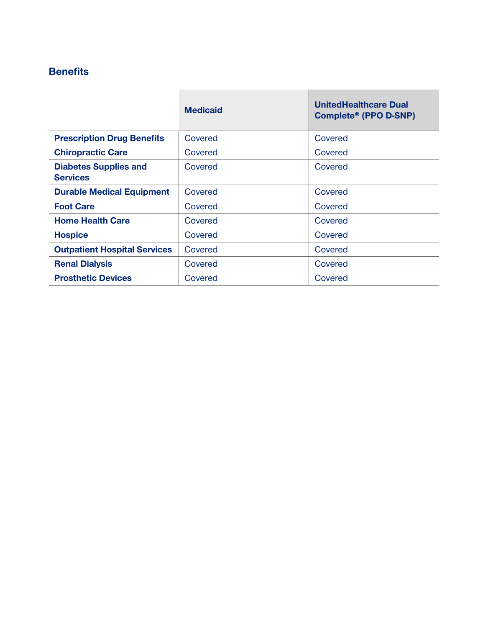|                                                 | <b>Medicaid</b> | <b>UnitedHealthcare Dual</b><br>Complete® (PPO D-SNP) |
|-------------------------------------------------|-----------------|-------------------------------------------------------|
| <b>Prescription Drug Benefits</b>               | Covered         | Covered                                               |
| <b>Chiropractic Care</b>                        | Covered         | Covered                                               |
| <b>Diabetes Supplies and</b><br><b>Services</b> | Covered         | Covered                                               |
| <b>Durable Medical Equipment</b>                | Covered         | Covered                                               |
| <b>Foot Care</b>                                | Covered         | Covered                                               |
| <b>Home Health Care</b>                         | Covered         | Covered                                               |
| <b>Hospice</b>                                  | Covered         | Covered                                               |
| <b>Outpatient Hospital Services</b>             | Covered         | Covered                                               |
| <b>Renal Dialysis</b>                           | Covered         | Covered                                               |
| <b>Prosthetic Devices</b>                       | Covered         | Covered                                               |